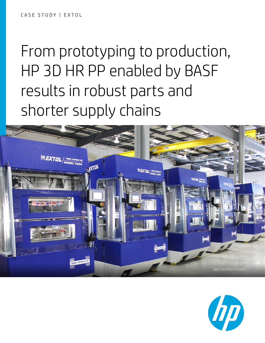# From prototyping to production, HP 3D HR PP enabled by BASF results in robust parts and shorter supply chains



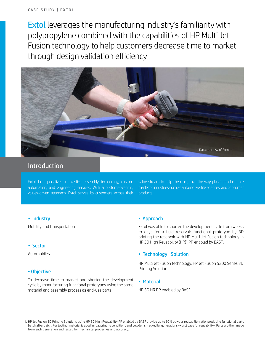Extol leverages the manufacturing industry's familiarity with polypropylene combined with the capabilities of HP Multi Jet Fusion technology to help customers decrease time to market through design validation efficiency



# Introduction

Extol Inc. specializes in plastics assembly technology, custom automation, and engineering services. With a customer-centric, values-driven approach, Extol serves its customers across their

value stream to help them improve the way plastic products are made for industries such as automotive, life sciences, and consumer products.

#### • Sector

Automobiles

#### • Objective

To decrease time to market and shorten the development cycle by manufacturing functional prototypes using the same material and assembly process as end-use parts.

#### • Industry • **Approach**

Mobility and transportation Extol was able to shorten the development cycle from weeks to days for a fluid reservoir functional prototype by 3D printing the reservoir with HP Multi Jet Fusion technology in HP 3D High Reusability (HR)<sup>1</sup> PP enabled by BASF.

### • Technology | Solution

HP Multi Jet Fusion technology, HP Jet Fusion 5200 Series 3D Printing Solution

#### • Material

HP 3D HR PP enabled by BASF

<sup>1.</sup> HP Jet Fusion 3D Printing Solutions using HP 3D High Reusability PP enabled by BASF provide up to 90% powder reusability ratio, producing functional parts batch after batch. For testing, material is aged in real printing conditions and powder is tracked by generations (worst case for reusability). Parts are then made from each generation and tested for mechanical properties and accuracy.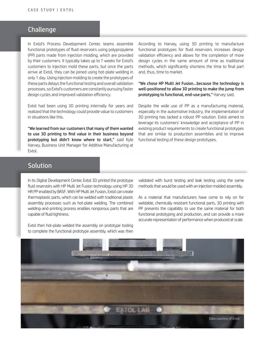# Challenge

In Extol's Process Development Center, teams assemble functional prototypes of fluid reservoirs using polypropylene (PP) parts made from injection molding, which are provided by their customers. It typically takes up to 7 weeks for Extol's customers to injection mold these parts, but once the parts arrive at Extol, they can be joined using hot-plate welding in only 1 day. Using injection molding to create the prototypes of these parts delays the functional testing and overall validation processes, so Extol's customers are constantly pursuing faster design cycles and improved validation efficiency.

Extol had been using 3D printing internally for years and realized that the technology could provide value to customers in situations like this.

"We learned from our customers that many of them wanted to use 3D printing to find value in their business beyond prototyping but didn't know where to start," said Kyle Harvey, Business Unit Manager for Additive Manufacturing at Extol.

According to Harvey, using 3D printing to manufacture functional prototypes for fluid reservoirs increases design validation efficiency and allows for the completion of more design cycles in the same amount of time as traditional methods, which significantly shortens the time to final part and, thus, time to market.

#### "We chose HP Multi Jet Fusion…because the technology is well-positioned to allow 3D printing to make the jump from prototyping to functional, end-use parts," Harvey said.

Despite the wide use of PP as a manufacturing material, especially in the automotive industry, the implementation of 3D printing has lacked a robust PP solution. Extol aimed to leverage its customers' knowledge and acceptance of PP in existing product requirements to create functional prototypes that are similar to production assemblies and to improve functional testing of these design prototypes.

# Solution

In its Digital Development Center, Extol 3D printed the prototype fluid reservoirs with HP Multi Jet Fusion technology using HP 3D HR PP enabled by BASF. With HP Multi Jet Fusion, Extol can create thermoplastic parts, which can be welded with traditional plastic assembly processes such as hot-plate welding. The combined welding-and-printing process enables nonporous parts that are capable of fluid tightness.

Extol then hot-plate welded the assembly on prototype tooling to complete the functional prototype assembly, which was then

validated with burst testing and leak testing using the same methods that would be used with an injection molded assembly.

As a material that manufacturers have come to rely on for weldable, chemically resistant functional parts, 3D printing with PP presents the capability to use the same material for both functional prototyping and production, and can provide a more accurate representation of performance when produced at scale.